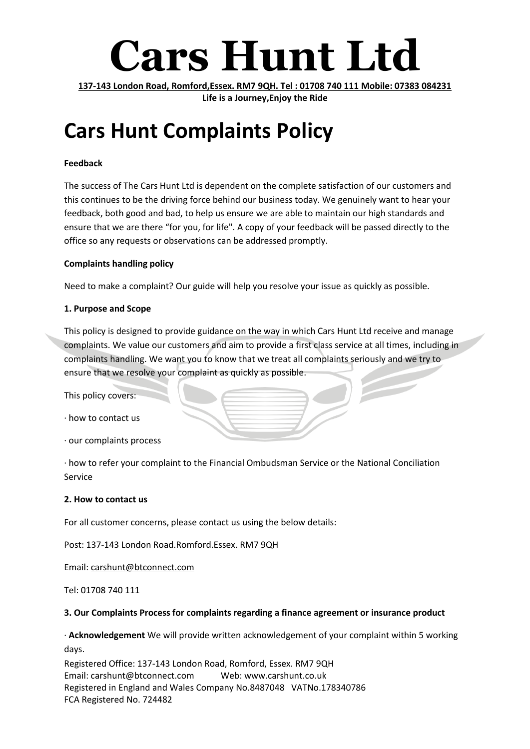# **Cars Hunt Ltd**

**137-143 London Road, Romford,Essex. RM7 9QH. Tel : 01708 740 111 Mobile: 07383 084231 Life is a Journey,Enjoy the Ride**

# **Cars Hunt Complaints Policy**

## **Feedback**

The success of The Cars Hunt Ltd is dependent on the complete satisfaction of our customers and this continues to be the driving force behind our business today. We genuinely want to hear your feedback, both good and bad, to help us ensure we are able to maintain our high standards and ensure that we are there "for you, for life". A copy of your feedback will be passed directly to the office so any requests or observations can be addressed promptly.

### **Complaints handling policy**

Need to make a complaint? Our guide will help you resolve your issue as quickly as possible.

### **1. Purpose and Scope**

This policy is designed to provide guidance on the way in which Cars Hunt Ltd receive and manage complaints. We value our customers and aim to provide a first class service at all times, including in complaints handling. We want you to know that we treat all complaints seriously and we try to ensure that we resolve your complaint as quickly as possible.

This policy covers:

- · how to contact us
- · our complaints process

· how to refer your complaint to the Financial Ombudsman Service or the National Conciliation Service

### **2. How to contact us**

For all customer concerns, please contact us using the below details:

Post: 137-143 London Road.Romford.Essex. RM7 9QH

Email: carshunt@btconnect.com

Tel: 01708 740 111

### **3. Our Complaints Process for complaints regarding a finance agreement or insurance product**

· **Acknowledgement** We will provide written acknowledgement of your complaint within 5 working days.

Registered Office: 137-143 London Road, Romford, Essex. RM7 9QH Email: carshunt@btconnect.com Web: www.carshunt.co.uk Registered in England and Wales Company No.8487048 VATNo.178340786 FCA Registered No. 724482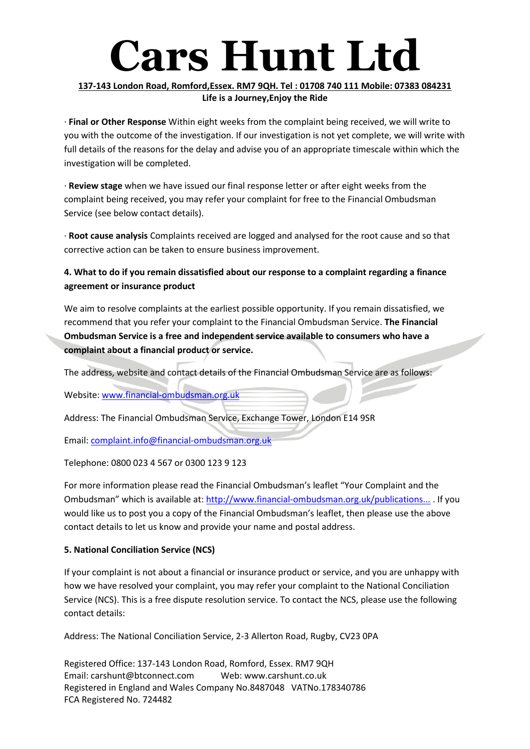# **Cars Hunt Ltd**

## **137-143 London Road, Romford,Essex. RM7 9QH. Tel : 01708 740 111 Mobile: 07383 084231 Life is a Journey,Enjoy the Ride**

· **Final or Other Response** Within eight weeks from the complaint being received, we will write to you with the outcome of the investigation. If our investigation is not yet complete, we will write with full details of the reasons for the delay and advise you of an appropriate timescale within which the investigation will be completed.

· **Review stage** when we have issued our final response letter or after eight weeks from the complaint being received, you may refer your complaint for free to the Financial Ombudsman Service (see below contact details).

· **Root cause analysis** Complaints received are logged and analysed for the root cause and so that corrective action can be taken to ensure business improvement.

# **4. What to do if you remain dissatisfied about our response to a complaint regarding a finance agreement or insurance product**

We aim to resolve complaints at the earliest possible opportunity. If you remain dissatisfied, we recommend that you refer your complaint to the Financial Ombudsman Service. **The Financial Ombudsman Service is a free and independent service available to consumers who have a complaint about a financial product or service.**

The address, website and contact details of the Financial Ombudsman Service are as follows:

Website: [www.financial-ombudsman.org.uk](http://www.financial-ombudsman.org.uk/)

Address: The Financial Ombudsman Service, Exchange Tower, London E14 9SR

Email: [complaint.info@financial-ombudsman.org.uk](mailto:complaint.info@financial-ombudsman.org.uk)

Telephone: 0800 023 4 567 or 0300 123 9 123

For more information please read the Financial Ombudsman's leaflet "Your Complaint and the Ombudsman" which is available at: [http://www.financial-ombudsman.org.uk/publications...](http://www.financial-ombudsman.org.uk/publications/consumer-leaflet.htm) . If you would like us to post you a copy of the Financial Ombudsman's leaflet, then please use the above contact details to let us know and provide your name and postal address.

## **5. National Conciliation Service (NCS)**

If your complaint is not about a financial or insurance product or service, and you are unhappy with how we have resolved your complaint, you may refer your complaint to the National Conciliation Service (NCS). This is a free dispute resolution service. To contact the NCS, please use the following contact details:

Address: The National Conciliation Service, 2-3 Allerton Road, Rugby, CV23 0PA

Registered Office: 137-143 London Road, Romford, Essex. RM7 9QH Email: carshunt@btconnect.com Web: www.carshunt.co.uk Registered in England and Wales Company No.8487048 VATNo.178340786 FCA Registered No. 724482